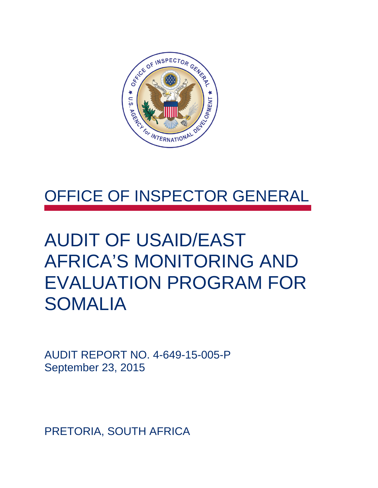

## OFFICE OF INSPECTOR GENERAL

## AUDIT OF USAID/EAST AFRICA'S MONITORING AND EVALUATION PROGRAM FOR SOMALIA

AUDIT REPORT NO. 4-649-15-005-P September 23, 2015

PRETORIA, SOUTH AFRICA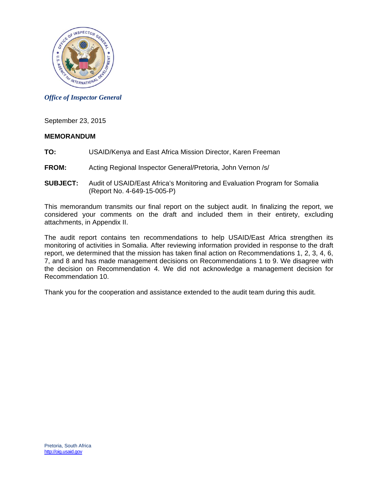

*Office of Inspector General* 

September 23, 2015

#### **MEMORANDUM**

- **TO:** USAID/Kenya and East Africa Mission Director, Karen Freeman
- **FROM:** Acting Regional Inspector General/Pretoria, John Vernon /s/
- **SUBJECT:** Audit of USAID/East Africa's Monitoring and Evaluation Program for Somalia (Report No. 4-649-15-005-P)

This memorandum transmits our final report on the subject audit. In finalizing the report, we considered your comments on the draft and included them in their entirety, excluding attachments, in Appendix II.

 monitoring of activities in Somalia. After reviewing information provided in response to the draft The audit report contains ten recommendations to help USAID/East Africa strengthen its report, we determined that the mission has taken final action on Recommendations 1, 2, 3, 4, 6, 7, and 8 and has made management decisions on Recommendations 1 to 9. We disagree with the decision on Recommendation 4. We did not acknowledge a management decision for Recommendation 10.

Thank you for the cooperation and assistance extended to the audit team during this audit.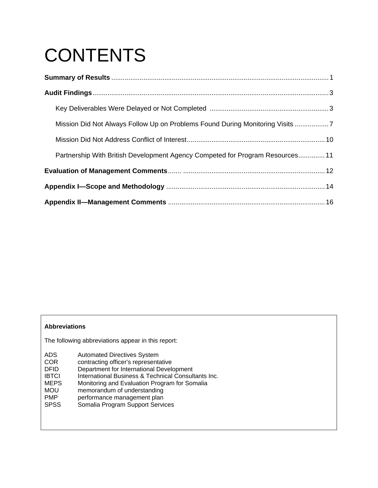# **CONTENTS**

| Mission Did Not Always Follow Up on Problems Found During Monitoring Visits 7 |  |  |
|-------------------------------------------------------------------------------|--|--|
|                                                                               |  |  |
| Partnership With British Development Agency Competed for Program Resources 11 |  |  |
|                                                                               |  |  |
|                                                                               |  |  |
|                                                                               |  |  |

#### **Abbreviations**

The following abbreviations appear in this report:

- ADS Automated Directives System<br>COR contracting officer's representa COR contracting officer's representative<br>DFID Department for International Develo Department for International Development IBTCI International Business & Technical Consultants Inc.<br>MEPS Monitoring and Evaluation Program for Somalia MEPS Monitoring and Evaluation Program for Somalia<br>MOU memorandum of understanding memorandum of understanding PMP performance management plan<br>
SPSS Somalia Program Support Servi
- Somalia Program Support Services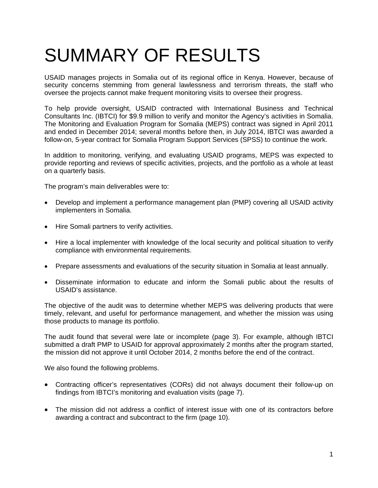# SUMMARY OF RESULTS

 oversee the projects cannot make frequent monitoring visits to oversee their progress. USAID manages projects in Somalia out of its regional office in Kenya. However, because of security concerns stemming from general lawlessness and terrorism threats, the staff who

To help provide oversight, USAID contracted with International Business and Technical Consultants Inc. (IBTCI) for \$9.9 million to verify and monitor the Agency's activities in Somalia. The Monitoring and Evaluation Program for Somalia (MEPS) contract was signed in April 2011 and ended in December 2014; several months before then, in July 2014, IBTCI was awarded a follow-on, 5-year contract for Somalia Program Support Services (SPSS) to continue the work.

In addition to monitoring, verifying, and evaluating USAID programs, MEPS was expected to provide reporting and reviews of specific activities, projects, and the portfolio as a whole at least on a quarterly basis.

The program's main deliverables were to:

- Develop and implement a performance management plan (PMP) covering all USAID activity implementers in Somalia.
- Hire Somali partners to verify activities.
- Hire a local implementer with knowledge of the local security and political situation to verify compliance with environmental requirements.
- Prepare assessments and evaluations of the security situation in Somalia at least annually.
- Disseminate information to educate and inform the Somali public about the results of USAID's assistance.

The objective of the audit was to determine whether MEPS was delivering products that were timely, relevant, and useful for performance management, and whether the mission was using those products to manage its portfolio.

The audit found that several were late or incomplete (page 3). For example, although IBTCI submitted a draft PMP to USAID for approval approximately 2 months after the program started, the mission did not approve it until October 2014, 2 months before the end of the contract.

We also found the following problems.

- Contracting officer's representatives (CORs) did not always document their follow-up on findings from IBTCI's monitoring and evaluation visits (page 7).
- The mission did not address a conflict of interest issue with one of its contractors before awarding a contract and subcontract to the firm (page 10).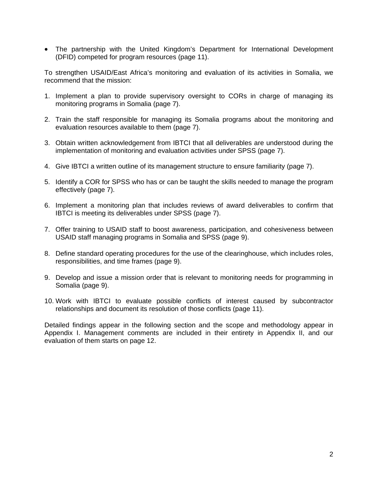The partnership with the United Kingdom's Department for International Development (DFID) competed for program resources (page 11).

To strengthen USAID/East Africa's monitoring and evaluation of its activities in Somalia, we recommend that the mission:

- 1. Implement a plan to provide supervisory oversight to CORs in charge of managing its monitoring programs in Somalia (page 7).
- 2. Train the staff responsible for managing its Somalia programs about the monitoring and evaluation resources available to them (page 7).
- 3. Obtain written acknowledgement from IBTCI that all deliverables are understood during the implementation of monitoring and evaluation activities under SPSS (page 7).
- 4. Give IBTCI a written outline of its management structure to ensure familiarity (page 7).
- 5. Identify a COR for SPSS who has or can be taught the skills needed to manage the program effectively (page 7).
- 6. Implement a monitoring plan that includes reviews of award deliverables to confirm that IBTCI is meeting its deliverables under SPSS (page 7).
- 7. Offer training to USAID staff to boost awareness, participation, and cohesiveness between USAID staff managing programs in Somalia and SPSS (page 9).
- 8. Define standard operating procedures for the use of the clearinghouse, which includes roles, responsibilities, and time frames (page 9).
- 9. Develop and issue a mission order that is relevant to monitoring needs for programming in Somalia (page 9).
- 10. Work with IBTCI to evaluate possible conflicts of interest caused by subcontractor relationships and document its resolution of those conflicts (page 11).

Detailed findings appear in the following section and the scope and methodology appear in Appendix I. Management comments are included in their entirety in Appendix II, and our evaluation of them starts on page 12.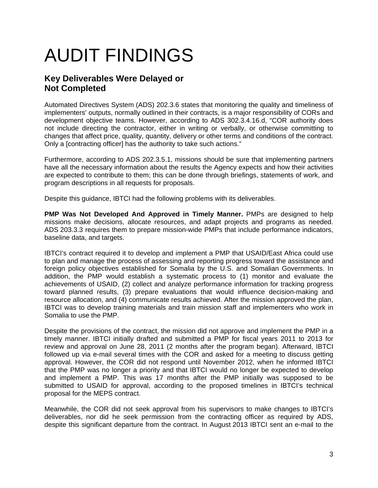# AUDIT FINDINGS

### **Key Deliverables Were Delayed or Not Completed**

Automated Directives System (ADS) 202.3.6 states that monitoring the quality and timeliness of implementers' outputs, normally outlined in their contracts, is a major responsibility of CORs and development objective teams. However, according to ADS 302.3.4.16.d, "COR authority does not include directing the contractor, either in writing or verbally, or otherwise committing to changes that affect price, quality, quantity, delivery or other terms and conditions of the contract. Only a [contracting officer] has the authority to take such actions."

Furthermore, according to ADS 202.3.5.1, missions should be sure that implementing partners have all the necessary information about the results the Agency expects and how their activities are expected to contribute to them; this can be done through briefings, statements of work, and program descriptions in all requests for proposals.

Despite this guidance, IBTCI had the following problems with its deliverables.

**PMP Was Not Developed And Approved in Timely Manner.** PMPs are designed to help missions make decisions, allocate resources, and adapt projects and programs as needed. ADS 203.3.3 requires them to prepare mission-wide PMPs that include performance indicators, baseline data, and targets.

IBTCI's contract required it to develop and implement a PMP that USAID/East Africa could use to plan and manage the process of assessing and reporting progress toward the assistance and foreign policy objectives established for Somalia by the U.S. and Somalian Governments. In addition, the PMP would establish a systematic process to (1) monitor and evaluate the achievements of USAID, (2) collect and analyze performance information for tracking progress toward planned results, (3) prepare evaluations that would influence decision-making and resource allocation, and (4) communicate results achieved. After the mission approved the plan, IBTCI was to develop training materials and train mission staff and implementers who work in Somalia to use the PMP.

Despite the provisions of the contract, the mission did not approve and implement the PMP in a timely manner. IBTCI initially drafted and submitted a PMP for fiscal years 2011 to 2013 for review and approval on June 28, 2011 (2 months after the program began). Afterward, IBTCI followed up via e-mail several times with the COR and asked for a meeting to discuss getting approval. However, the COR did not respond until November 2012, when he informed IBTCI that the PMP was no longer a priority and that IBTCI would no longer be expected to develop and implement a PMP. This was 17 months after the PMP initially was supposed to be submitted to USAID for approval, according to the proposed timelines in IBTCI's technical proposal for the MEPS contract.

Meanwhile, the COR did not seek approval from his supervisors to make changes to IBTCI's deliverables, nor did he seek permission from the contracting officer as required by ADS, despite this significant departure from the contract. In August 2013 IBTCI sent an e-mail to the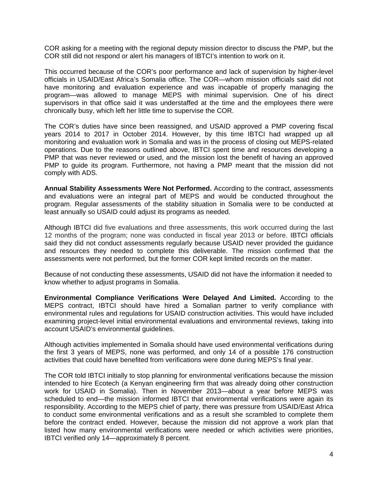COR asking for a meeting with the regional deputy mission director to discuss the PMP, but the COR still did not respond or alert his managers of IBTCI's intention to work on it.

This occurred because of the COR's poor performance and lack of supervision by higher-level officials in USAID/East Africa's Somalia office. The COR—whom mission officials said did not have monitoring and evaluation experience and was incapable of properly managing the program—was allowed to manage MEPS with minimal supervision. One of his direct supervisors in that office said it was understaffed at the time and the employees there were chronically busy, which left her little time to supervise the COR.

The COR's duties have since been reassigned, and USAID approved a PMP covering fiscal years 2014 to 2017 in October 2014. However, by this time IBTCI had wrapped up all monitoring and evaluation work in Somalia and was in the process of closing out MEPS-related operations. Due to the reasons outlined above, IBTCI spent time and resources developing a PMP that was never reviewed or used, and the mission lost the benefit of having an approved PMP to guide its program. Furthermore, not having a PMP meant that the mission did not comply with ADS.

**Annual Stability Assessments Were Not Performed.** According to the contract, assessments and evaluations were an integral part of MEPS and would be conducted throughout the program. Regular assessments of the stability situation in Somalia were to be conducted at least annually so USAID could adjust its programs as needed.

Although IBTCI did five evaluations and three assessments, this work occurred during the last 12 months of the program; none was conducted in fiscal year 2013 or before. IBTCI officials said they did not conduct assessments regularly because USAID never provided the guidance and resources they needed to complete this deliverable. The mission confirmed that the assessments were not performed, but the former COR kept limited records on the matter.

Because of not conducting these assessments, USAID did not have the information it needed to know whether to adjust programs in Somalia.

**Environmental Compliance Verifications Were Delayed And Limited.** According to the MEPS contract, IBTCI should have hired a Somalian partner to verify compliance with environmental rules and regulations for USAID construction activities. This would have included examining project-level initial environmental evaluations and environmental reviews, taking into account USAID's environmental guidelines.

Although activities implemented in Somalia should have used environmental verifications during the first 3 years of MEPS, none was performed, and only 14 of a possible 176 construction activities that could have benefited from verifications were done during MEPS's final year.

The COR told IBTCI initially to stop planning for environmental verifications because the mission intended to hire Ecotech (a Kenyan engineering firm that was already doing other construction work for USAID in Somalia). Then in November 2013—about a year before MEPS was scheduled to end—the mission informed IBTCI that environmental verifications were again its responsibility. According to the MEPS chief of party, there was pressure from USAID/East Africa to conduct some environmental verifications and as a result she scrambled to complete them before the contract ended. However, because the mission did not approve a work plan that listed how many environmental verifications were needed or which activities were priorities, IBTCI verified only 14—approximately 8 percent.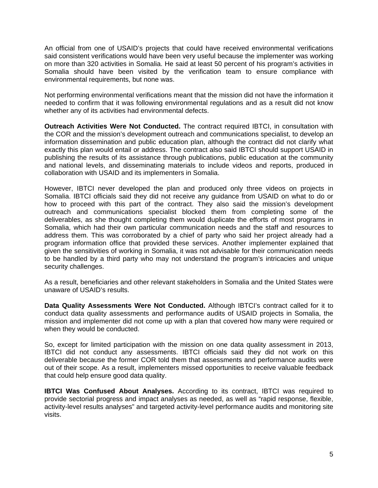An official from one of USAID's projects that could have received environmental verifications said consistent verifications would have been very useful because the implementer was working on more than 320 activities in Somalia. He said at least 50 percent of his program's activities in Somalia should have been visited by the verification team to ensure compliance with environmental requirements, but none was.

Not performing environmental verifications meant that the mission did not have the information it needed to confirm that it was following environmental regulations and as a result did not know whether any of its activities had environmental defects.

**Outreach Activities Were Not Conducted.** The contract required IBTCI, in consultation with the COR and the mission's development outreach and communications specialist, to develop an information dissemination and public education plan, although the contract did not clarify what exactly this plan would entail or address. The contract also said IBTCI should support USAID in publishing the results of its assistance through publications, public education at the community and national levels, and disseminating materials to include videos and reports, produced in collaboration with USAID and its implementers in Somalia.

However, IBTCI never developed the plan and produced only three videos on projects in Somalia. IBTCI officials said they did not receive any guidance from USAID on what to do or how to proceed with this part of the contract. They also said the mission's development outreach and communications specialist blocked them from completing some of the deliverables, as she thought completing them would duplicate the efforts of most programs in Somalia, which had their own particular communication needs and the staff and resources to address them. This was corroborated by a chief of party who said her project already had a program information office that provided these services. Another implementer explained that given the sensitivities of working in Somalia, it was not advisable for their communication needs to be handled by a third party who may not understand the program's intricacies and unique security challenges.

As a result, beneficiaries and other relevant stakeholders in Somalia and the United States were unaware of USAID's results.

**Data Quality Assessments Were Not Conducted.** Although IBTCI's contract called for it to conduct data quality assessments and performance audits of USAID projects in Somalia, the mission and implementer did not come up with a plan that covered how many were required or when they would be conducted.

So, except for limited participation with the mission on one data quality assessment in 2013, IBTCI did not conduct any assessments. IBTCI officials said they did not work on this deliverable because the former COR told them that assessments and performance audits were out of their scope. As a result, implementers missed opportunities to receive valuable feedback that could help ensure good data quality.

**IBTCI Was Confused About Analyses.** According to its contract, IBTCI was required to provide sectorial progress and impact analyses as needed, as well as "rapid response, flexible, activity-level results analyses" and targeted activity-level performance audits and monitoring site visits.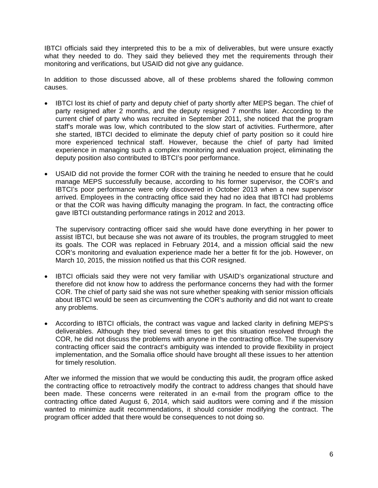IBTCI officials said they interpreted this to be a mix of deliverables, but were unsure exactly what they needed to do. They said they believed they met the requirements through their monitoring and verifications, but USAID did not give any guidance.

In addition to those discussed above, all of these problems shared the following common causes.

- IBTCI lost its chief of party and deputy chief of party shortly after MEPS began. The chief of party resigned after 2 months, and the deputy resigned 7 months later. According to the current chief of party who was recruited in September 2011, she noticed that the program staff's morale was low, which contributed to the slow start of activities. Furthermore, after she started, IBTCI decided to eliminate the deputy chief of party position so it could hire more experienced technical staff. However, because the chief of party had limited experience in managing such a complex monitoring and evaluation project, eliminating the deputy position also contributed to IBTCI's poor performance.
- USAID did not provide the former COR with the training he needed to ensure that he could manage MEPS successfully because, according to his former supervisor, the COR's and IBTCI's poor performance were only discovered in October 2013 when a new supervisor arrived. Employees in the contracting office said they had no idea that IBTCI had problems or that the COR was having difficulty managing the program. In fact, the contracting office gave IBTCI outstanding performance ratings in 2012 and 2013.

The supervisory contracting officer said she would have done everything in her power to assist IBTCI, but because she was not aware of its troubles, the program struggled to meet its goals. The COR was replaced in February 2014, and a mission official said the new COR's monitoring and evaluation experience made her a better fit for the job. However, on March 10, 2015, the mission notified us that this COR resigned.

- IBTCI officials said they were not very familiar with USAID's organizational structure and therefore did not know how to address the performance concerns they had with the former COR. The chief of party said she was not sure whether speaking with senior mission officials about IBTCI would be seen as circumventing the COR's authority and did not want to create any problems.
- According to IBTCI officials, the contract was vague and lacked clarity in defining MEPS's deliverables. Although they tried several times to get this situation resolved through the COR, he did not discuss the problems with anyone in the contracting office. The supervisory contracting officer said the contract's ambiguity was intended to provide flexibility in project implementation, and the Somalia office should have brought all these issues to her attention for timely resolution.

After we informed the mission that we would be conducting this audit, the program office asked the contracting office to retroactively modify the contract to address changes that should have been made. These concerns were reiterated in an e-mail from the program office to the contracting office dated August 6, 2014, which said auditors were coming and if the mission wanted to minimize audit recommendations, it should consider modifying the contract. The program officer added that there would be consequences to not doing so.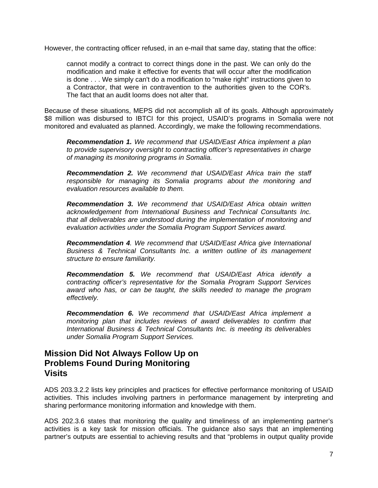However, the contracting officer refused, in an e-mail that same day, stating that the office:

cannot modify a contract to correct things done in the past. We can only do the modification and make it effective for events that will occur after the modification is done . . . We simply can't do a modification to "make right" instructions given to a Contractor, that were in contravention to the authorities given to the COR's. The fact that an audit looms does not alter that.

Because of these situations, MEPS did not accomplish all of its goals. Although approximately \$8 million was disbursed to IBTCI for this project, USAID's programs in Somalia were not monitored and evaluated as planned. Accordingly, we make the following recommendations.

*Recommendation 1. We recommend that USAID/East Africa implement a plan to provide supervisory oversight to contracting officer's representatives in charge of managing its monitoring programs in Somalia.* 

*Recommendation 2. We recommend that USAID/East Africa train the staff responsible for managing its Somalia programs about the monitoring and evaluation resources available to them.* 

*Recommendation 3. We recommend that USAID/East Africa obtain written acknowledgement from International Business and Technical Consultants Inc. that all deliverables are understood during the implementation of monitoring and evaluation activities under the Somalia Program Support Services award.* 

*Recommendation 4. We recommend that USAID/East Africa give International Business & Technical Consultants Inc. a written outline of its management structure to ensure familiarity.* 

*Recommendation 5. We recommend that USAID/East Africa identify a contracting officer's representative for the Somalia Program Support Services award who has, or can be taught, the skills needed to manage the program effectively.* 

*Recommendation 6. We recommend that USAID/East Africa implement a monitoring plan that includes reviews of award deliverables to confirm that International Business & Technical Consultants Inc. is meeting its deliverables under Somalia Program Support Services.* 

#### **Mission Did Not Always Follow Up on Problems Found During Monitoring Visits**

ADS 203.3.2.2 lists key principles and practices for effective performance monitoring of USAID activities. This includes involving partners in performance management by interpreting and sharing performance monitoring information and knowledge with them.

ADS 202.3.6 states that monitoring the quality and timeliness of an implementing partner's activities is a key task for mission officials. The guidance also says that an implementing partner's outputs are essential to achieving results and that "problems in output quality provide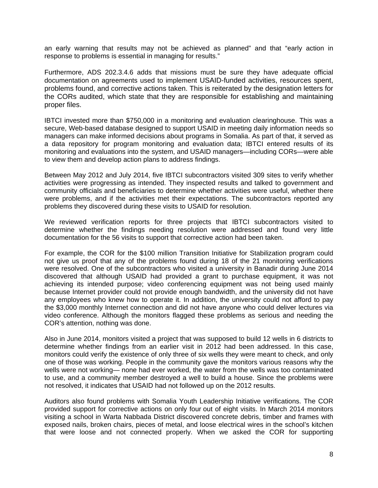an early warning that results may not be achieved as planned" and that "early action in response to problems is essential in managing for results."

Furthermore, ADS 202.3.4.6 adds that missions must be sure they have adequate official documentation on agreements used to implement USAID-funded activities, resources spent, problems found, and corrective actions taken. This is reiterated by the designation letters for the CORs audited, which state that they are responsible for establishing and maintaining proper files.

IBTCI invested more than \$750,000 in a monitoring and evaluation clearinghouse. This was a secure, Web-based database designed to support USAID in meeting daily information needs so managers can make informed decisions about programs in Somalia. As part of that, it served as a data repository for program monitoring and evaluation data; IBTCI entered results of its monitoring and evaluations into the system, and USAID managers—including CORs—were able to view them and develop action plans to address findings.

Between May 2012 and July 2014, five IBTCI subcontractors visited 309 sites to verify whether activities were progressing as intended. They inspected results and talked to government and community officials and beneficiaries to determine whether activities were useful, whether there were problems, and if the activities met their expectations. The subcontractors reported any problems they discovered during these visits to USAID for resolution.

We reviewed verification reports for three projects that IBTCI subcontractors visited to determine whether the findings needing resolution were addressed and found very little documentation for the 56 visits to support that corrective action had been taken.

For example, the COR for the \$100 million Transition Initiative for Stabilization program could not give us proof that any of the problems found during 18 of the 21 monitoring verifications were resolved. One of the subcontractors who visited a university in Banadir during June 2014 discovered that although USAID had provided a grant to purchase equipment, it was not achieving its intended purpose; video conferencing equipment was not being used mainly because Internet provider could not provide enough bandwidth, and the university did not have any employees who knew how to operate it. In addition, the university could not afford to pay the \$3,000 monthly Internet connection and did not have anyone who could deliver lectures via video conference. Although the monitors flagged these problems as serious and needing the COR's attention, nothing was done.

Also in June 2014, monitors visited a project that was supposed to build 12 wells in 6 districts to determine whether findings from an earlier visit in 2012 had been addressed. In this case, monitors could verify the existence of only three of six wells they were meant to check, and only one of those was working. People in the community gave the monitors various reasons why the wells were not working— none had ever worked, the water from the wells was too contaminated to use, and a community member destroyed a well to build a house. Since the problems were not resolved, it indicates that USAID had not followed up on the 2012 results.

Auditors also found problems with Somalia Youth Leadership Initiative verifications. The COR provided support for corrective actions on only four out of eight visits. In March 2014 monitors visiting a school in Warta Nabbada District discovered concrete debris, timber and frames with exposed nails, broken chairs, pieces of metal, and loose electrical wires in the school's kitchen that were loose and not connected properly. When we asked the COR for supporting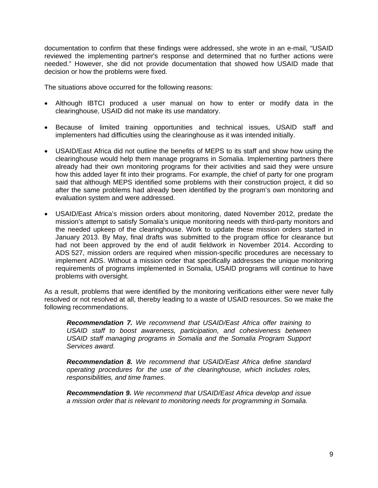documentation to confirm that these findings were addressed, she wrote in an e-mail, "USAID reviewed the implementing partner's response and determined that no further actions were needed." However, she did not provide documentation that showed how USAID made that decision or how the problems were fixed.

The situations above occurred for the following reasons:

- Although IBTCI produced a user manual on how to enter or modify data in the clearinghouse, USAID did not make its use mandatory.
- Because of limited training opportunities and technical issues, USAID staff and implementers had difficulties using the clearinghouse as it was intended initially.
- USAID/East Africa did not outline the benefits of MEPS to its staff and show how using the clearinghouse would help them manage programs in Somalia. Implementing partners there already had their own monitoring programs for their activities and said they were unsure how this added layer fit into their programs. For example, the chief of party for one program said that although MEPS identified some problems with their construction project, it did so after the same problems had already been identified by the program's own monitoring and evaluation system and were addressed.
- USAID/East Africa's mission orders about monitoring, dated November 2012, predate the mission's attempt to satisfy Somalia's unique monitoring needs with third-party monitors and the needed upkeep of the clearinghouse. Work to update these mission orders started in January 2013. By May, final drafts was submitted to the program office for clearance but had not been approved by the end of audit fieldwork in November 2014. According to ADS 527, mission orders are required when mission-specific procedures are necessary to implement ADS. Without a mission order that specifically addresses the unique monitoring requirements of programs implemented in Somalia, USAID programs will continue to have problems with oversight.

As a result, problems that were identified by the monitoring verifications either were never fully resolved or not resolved at all, thereby leading to a waste of USAID resources. So we make the following recommendations.

*Recommendation 7. We recommend that USAID/East Africa offer training to USAID staff to boost awareness, participation, and cohesiveness between USAID staff managing programs in Somalia and the Somalia Program Support Services award.* 

*Recommendation 8. We recommend that USAID/East Africa define standard operating procedures for the use of the clearinghouse, which includes roles, responsibilities, and time frames.* 

 *Recommendation 9. We recommend that USAID/East Africa develop and issue a mission order that is relevant to monitoring needs for programming in Somalia.*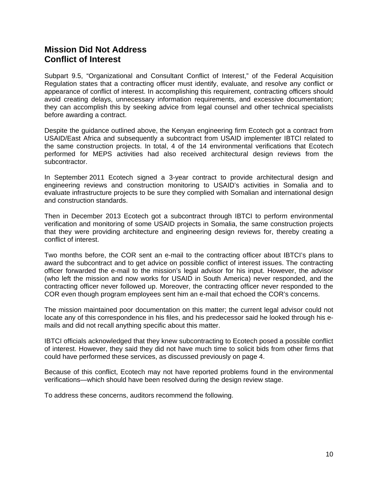### **Mission Did Not Address Conflict of Interest**

Subpart 9.5, "Organizational and Consultant Conflict of Interest," of the Federal Acquisition Regulation states that a contracting officer must identify, evaluate, and resolve any conflict or appearance of conflict of interest. In accomplishing this requirement, contracting officers should avoid creating delays, unnecessary information requirements, and excessive documentation; they can accomplish this by seeking advice from legal counsel and other technical specialists before awarding a contract.

Despite the guidance outlined above, the Kenyan engineering firm Ecotech got a contract from USAID/East Africa and subsequently a subcontract from USAID implementer IBTCI related to the same construction projects. In total, 4 of the 14 environmental verifications that Ecotech performed for MEPS activities had also received architectural design reviews from the subcontractor.

In September 2011 Ecotech signed a 3-year contract to provide architectural design and engineering reviews and construction monitoring to USAID's activities in Somalia and to evaluate infrastructure projects to be sure they complied with Somalian and international design and construction standards.

Then in December 2013 Ecotech got a subcontract through IBTCI to perform environmental verification and monitoring of some USAID projects in Somalia, the same construction projects that they were providing architecture and engineering design reviews for, thereby creating a conflict of interest.

Two months before, the COR sent an e-mail to the contracting officer about IBTCI's plans to award the subcontract and to get advice on possible conflict of interest issues. The contracting officer forwarded the e-mail to the mission's legal advisor for his input. However, the advisor (who left the mission and now works for USAID in South America) never responded, and the contracting officer never followed up. Moreover, the contracting officer never responded to the COR even though program employees sent him an e-mail that echoed the COR's concerns.

The mission maintained poor documentation on this matter; the current legal advisor could not locate any of this correspondence in his files, and his predecessor said he looked through his emails and did not recall anything specific about this matter.

IBTCI officials acknowledged that they knew subcontracting to Ecotech posed a possible conflict of interest. However, they said they did not have much time to solicit bids from other firms that could have performed these services, as discussed previously on page 4.

Because of this conflict, Ecotech may not have reported problems found in the environmental verifications—which should have been resolved during the design review stage.

To address these concerns, auditors recommend the following.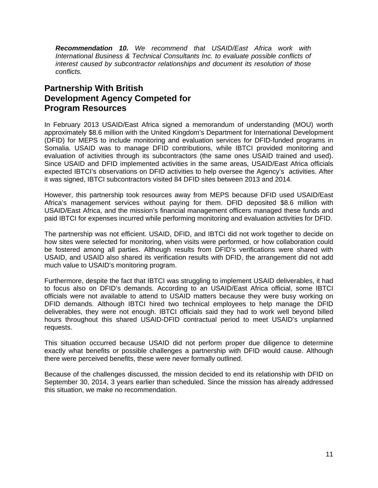*Recommendation 10. We recommend that USAID/East Africa work with International Business & Technical Consultants Inc. to evaluate possible conflicts of interest caused by subcontractor relationships and document its resolution of those conflicts.* 

#### **Partnership With British Development Agency Competed for Program Resources**

In February 2013 USAID/East Africa signed a memorandum of understanding (MOU) worth approximately \$8.6 million with the United Kingdom's Department for International Development (DFID) for MEPS to include monitoring and evaluation services for DFID-funded programs in Somalia. USAID was to manage DFID contributions, while IBTCI provided monitoring and evaluation of activities through its subcontractors (the same ones USAID trained and used). Since USAID and DFID implemented activities in the same areas, USAID/East Africa officials expected IBTCI's observations on DFID activities to help oversee the Agency's activities. After it was signed, IBTCI subcontractors visited 84 DFID sites between 2013 and 2014.

However, this partnership took resources away from MEPS because DFID used USAID/East Africa's management services without paying for them. DFID deposited \$8.6 million with USAID/East Africa, and the mission's financial management officers managed these funds and paid IBTCI for expenses incurred while performing monitoring and evaluation activities for DFID.

 The partnership was not efficient. USAID, DFID, and IBTCI did not work together to decide on how sites were selected for monitoring, when visits were performed, or how collaboration could be fostered among all parties. Although results from DFID's verifications were shared with USAID, and USAID also shared its verification results with DFID, the arrangement did not add much value to USAID's monitoring program.

Furthermore, despite the fact that IBTCI was struggling to implement USAID deliverables, it had to focus also on DFID's demands. According to an USAID/East Africa official, some IBTCI officials were not available to attend to USAID matters because they were busy working on DFID demands. Although IBTCI hired two technical employees to help manage the DFID deliverables, they were not enough. IBTCI officials said they had to work well beyond billed hours throughout this shared USAID-DFID contractual period to meet USAID's unplanned requests.

This situation occurred because USAID did not perform proper due diligence to determine exactly what benefits or possible challenges a partnership with DFID would cause. Although there were perceived benefits, these were never formally outlined.

Because of the challenges discussed, the mission decided to end its relationship with DFID on September 30, 2014, 3 years earlier than scheduled. Since the mission has already addressed this situation, we make no recommendation.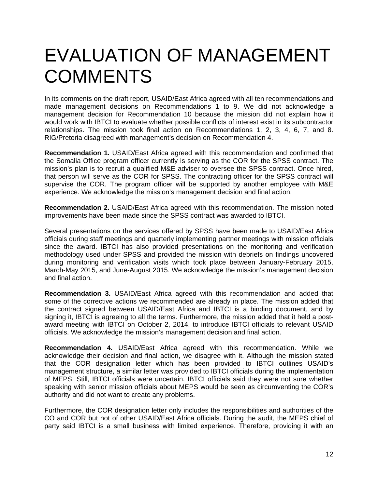## EVALUATION OF MANAGEMENT **COMMENTS**

In its comments on the draft report, USAID/East Africa agreed with all ten recommendations and made management decisions on Recommendations 1 to 9. We did not acknowledge a management decision for Recommendation 10 because the mission did not explain how it would work with IBTCI to evaluate whether possible conflicts of interest exist in its subcontractor relationships. The mission took final action on Recommendations 1, 2, 3, 4, 6, 7, and 8. RIG/Pretoria disagreed with management's decision on Recommendation 4.

**Recommendation 1.** USAID/East Africa agreed with this recommendation and confirmed that the Somalia Office program officer currently is serving as the COR for the SPSS contract. The mission's plan is to recruit a qualified M&E adviser to oversee the SPSS contract. Once hired, that person will serve as the COR for SPSS. The contracting officer for the SPSS contract will supervise the COR. The program officer will be supported by another employee with M&E experience. We acknowledge the mission's management decision and final action.

**Recommendation 2.** USAID/East Africa agreed with this recommendation. The mission noted improvements have been made since the SPSS contract was awarded to IBTCI.

Several presentations on the services offered by SPSS have been made to USAID/East Africa officials during staff meetings and quarterly implementing partner meetings with mission officials since the award. IBTCI has also provided presentations on the monitoring and verification methodology used under SPSS and provided the mission with debriefs on findings uncovered during monitoring and verification visits which took place between January-February 2015, March-May 2015, and June-August 2015. We acknowledge the mission's management decision and final action.

**Recommendation 3.** USAID/East Africa agreed with this recommendation and added that some of the corrective actions we recommended are already in place. The mission added that the contract signed between USAID/East Africa and IBTCI is a binding document, and by signing it, IBTCI is agreeing to all the terms. Furthermore, the mission added that it held a postaward meeting with IBTCI on October 2, 2014, to introduce IBTCI officials to relevant USAID officials. We acknowledge the mission's management decision and final action.

**Recommendation 4.** USAID/East Africa agreed with this recommendation. While we acknowledge their decision and final action, we disagree with it. Although the mission stated that the COR designation letter which has been provided to IBTCI outlines USAID's management structure, a similar letter was provided to IBTCI officials during the implementation of MEPS. Still, IBTCI officials were uncertain. IBTCI officials said they were not sure whether speaking with senior mission officials about MEPS would be seen as circumventing the COR's authority and did not want to create any problems.

Furthermore, the COR designation letter only includes the responsibilities and authorities of the CO and COR but not of other USAID/East Africa officials. During the audit, the MEPS chief of party said IBTCI is a small business with limited experience. Therefore, providing it with an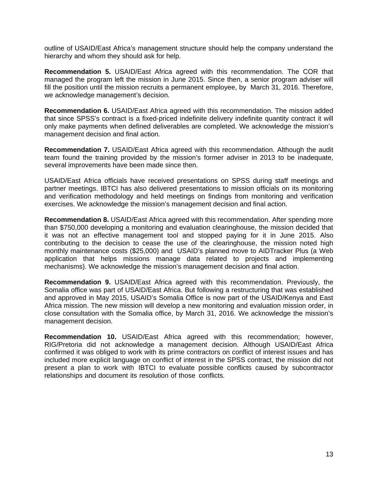outline of USAID/East Africa's management structure should help the company understand the hierarchy and whom they should ask for help.

**Recommendation 5.** USAID/East Africa agreed with this recommendation. The COR that managed the program left the mission in June 2015. Since then, a senior program adviser will fill the position until the mission recruits a permanent employee, by March 31, 2016. Therefore, we acknowledge management's decision.

**Recommendation 6.** USAID/East Africa agreed with this recommendation. The mission added that since SPSS's contract is a fixed-priced indefinite delivery indefinite quantity contract it will only make payments when defined deliverables are completed. We acknowledge the mission's management decision and final action.

**Recommendation 7.** USAID/East Africa agreed with this recommendation. Although the audit team found the training provided by the mission's former adviser in 2013 to be inadequate, several improvements have been made since then.

 and verification methodology and held meetings on findings from monitoring and verification USAID/East Africa officials have received presentations on SPSS during staff meetings and partner meetings. IBTCI has also delivered presentations to mission officials on its monitoring exercises. We acknowledge the mission's management decision and final action.

**Recommendation 8.** USAID/East Africa agreed with this recommendation. After spending more than \$750,000 developing a monitoring and evaluation clearinghouse, the mission decided that it was not an effective management tool and stopped paying for it in June 2015. Also contributing to the decision to cease the use of the clearinghouse, the mission noted high monthly maintenance costs (\$25,000) and USAID's planned move to AIDTracker Plus (a Web application that helps missions manage data related to projects and implementing mechanisms). We acknowledge the mission's management decision and final action.

**Recommendation 9.** USAID/East Africa agreed with this recommendation. Previously, the Somalia office was part of USAID/East Africa. But following a restructuring that was established and approved in May 2015, USAID's Somalia Office is now part of the USAID/Kenya and East Africa mission. The new mission will develop a new monitoring and evaluation mission order, in close consultation with the Somalia office, by March 31, 2016. We acknowledge the mission's management decision.

 present a plan to work with IBTCI to evaluate possible conflicts caused by subcontractor **Recommendation 10.** USAID/East Africa agreed with this recommendation; however, RIG/Pretoria did not acknowledge a management decision. Although USAID/East Africa confirmed it was obliged to work with its prime contractors on conflict of interest issues and has included more explicit language on conflict of interest in the SPSS contract, the mission did not relationships and document its resolution of those conflicts.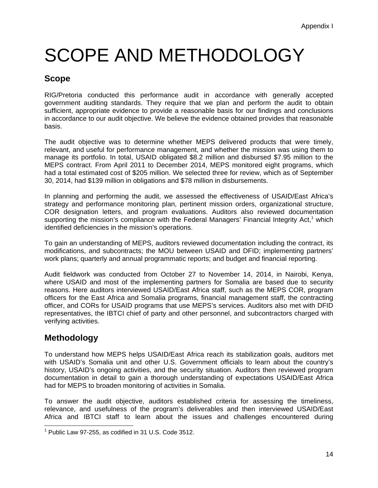# SCOPE AND METHODOLOGY

#### **Scope**

RIG/Pretoria conducted this performance audit in accordance with generally accepted government auditing standards. They require that we plan and perform the audit to obtain sufficient, appropriate evidence to provide a reasonable basis for our findings and conclusions in accordance to our audit objective. We believe the evidence obtained provides that reasonable basis.

The audit objective was to determine whether MEPS delivered products that were timely, relevant, and useful for performance management, and whether the mission was using them to manage its portfolio. In total, USAID obligated \$8.2 million and disbursed \$7.95 million to the MEPS contract. From April 2011 to December 2014, MEPS monitored eight programs, which had a total estimated cost of \$205 million. We selected three for review, which as of September 30, 2014, had \$139 million in obligations and \$78 million in disbursements.

In planning and performing the audit, we assessed the effectiveness of USAID/East Africa's strategy and performance monitoring plan, pertinent mission orders, organizational structure, COR designation letters, and program evaluations. Auditors also reviewed documentation supporting the mission's compliance with the Federal Managers' Financial Integrity Act,<sup>1</sup> which identified deficiencies in the mission's operations.

To gain an understanding of MEPS, auditors reviewed documentation including the contract, its modifications, and subcontracts; the MOU between USAID and DFID; implementing partners' work plans; quarterly and annual programmatic reports; and budget and financial reporting.

Audit fieldwork was conducted from October 27 to November 14, 2014, in Nairobi, Kenya, where USAID and most of the implementing partners for Somalia are based due to security reasons. Here auditors interviewed USAID/East Africa staff, such as the MEPS COR, program officers for the East Africa and Somalia programs, financial management staff, the contracting officer, and CORs for USAID programs that use MEPS's services. Auditors also met with DFID representatives, the IBTCI chief of party and other personnel, and subcontractors charged with verifying activities.

### **Methodology**

To understand how MEPS helps USAID/East Africa reach its stabilization goals, auditors met with USAID's Somalia unit and other U.S. Government officials to learn about the country's history, USAID's ongoing activities, and the security situation. Auditors then reviewed program documentation in detail to gain a thorough understanding of expectations USAID/East Africa had for MEPS to broaden monitoring of activities in Somalia.

To answer the audit objective, auditors established criteria for assessing the timeliness, relevance, and usefulness of the program's deliverables and then interviewed USAID/East Africa and IBTCI staff to learn about the issues and challenges encountered during

 1 Public Law 97-255, as codified in 31 U.S. Code 3512.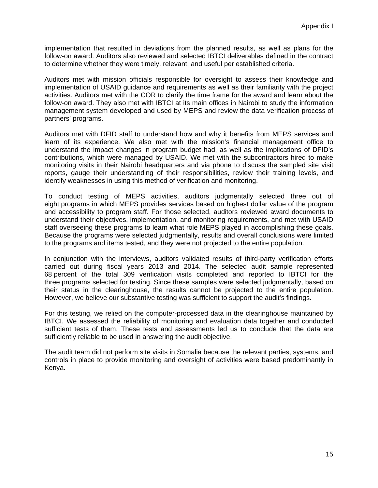implementation that resulted in deviations from the planned results, as well as plans for the follow-on award. Auditors also reviewed and selected IBTCI deliverables defined in the contract to determine whether they were timely, relevant, and useful per established criteria.

Auditors met with mission officials responsible for oversight to assess their knowledge and implementation of USAID guidance and requirements as well as their familiarity with the project activities. Auditors met with the COR to clarify the time frame for the award and learn about the follow-on award. They also met with IBTCI at its main offices in Nairobi to study the information management system developed and used by MEPS and review the data verification process of partners' programs.

Auditors met with DFID staff to understand how and why it benefits from MEPS services and learn of its experience. We also met with the mission's financial management office to understand the impact changes in program budget had, as well as the implications of DFID's contributions, which were managed by USAID. We met with the subcontractors hired to make monitoring visits in their Nairobi headquarters and via phone to discuss the sampled site visit reports, gauge their understanding of their responsibilities, review their training levels, and identify weaknesses in using this method of verification and monitoring.

To conduct testing of MEPS activities, auditors judgmentally selected three out of eight programs in which MEPS provides services based on highest dollar value of the program and accessibility to program staff. For those selected, auditors reviewed award documents to understand their objectives, implementation, and monitoring requirements, and met with USAID staff overseeing these programs to learn what role MEPS played in accomplishing these goals. Because the programs were selected judgmentally, results and overall conclusions were limited to the programs and items tested, and they were not projected to the entire population.

In conjunction with the interviews, auditors validated results of third-party verification efforts carried out during fiscal years 2013 and 2014. The selected audit sample represented 68 percent of the total 309 verification visits completed and reported to IBTCI for the three programs selected for testing. Since these samples were selected judgmentally, based on their status in the clearinghouse, the results cannot be projected to the entire population. However, we believe our substantive testing was sufficient to support the audit's findings.

For this testing, we relied on the computer-processed data in the clearinghouse maintained by IBTCI. We assessed the reliability of monitoring and evaluation data together and conducted sufficient tests of them. These tests and assessments led us to conclude that the data are sufficiently reliable to be used in answering the audit objective.

The audit team did not perform site visits in Somalia because the relevant parties, systems, and controls in place to provide monitoring and oversight of activities were based predominantly in Kenya.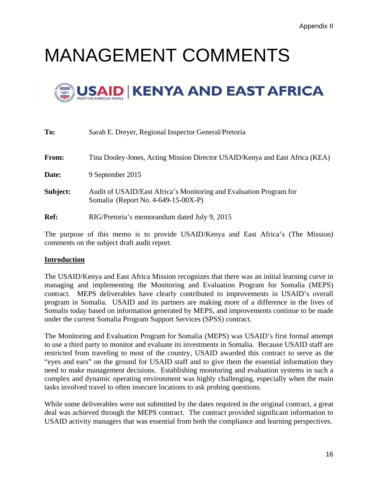# MANAGEMENT COMMENTS



| To:         | Sarah E. Dreyer, Regional Inspector General/Pretoria                                                      |
|-------------|-----------------------------------------------------------------------------------------------------------|
| From:       | Tina Dooley-Jones, Acting Mission Director USAID/Kenya and East Africa (KEA)                              |
| Date:       | 9 September 2015                                                                                          |
| Subject:    | Audit of USAID/East Africa's Monitoring and Evaluation Program for<br>Somalia (Report No. 4-649-15-00X-P) |
| <b>Ref:</b> | RIG/Pretoria's memorandum dated July 9, 2015                                                              |

The purpose of this memo is to provide USAID/Kenya and East Africa's (The Mission) comments on the subject draft audit report.

#### **Introduction**

The USAID/Kenya and East Africa Mission recognizes that there was an initial learning curve in managing and implementing the Monitoring and Evaluation Program for Somalia (MEPS) contract. MEPS deliverables have clearly contributed to improvements in USAID's overall program in Somalia. USAID and its partners are making more of a difference in the lives of Somalis today based on information generated by MEPS, and improvements continue to be made under the current Somalia Program Support Services (SPSS) contract.

The Monitoring and Evaluation Program for Somalia (MEPS) was USAID's first formal attempt to use a third party to monitor and evaluate its investments in Somalia. Because USAID staff are restricted from traveling to most of the country, USAID awarded this contract to serve as the "eyes and ears" on the ground for USAID staff and to give them the essential information they need to make management decisions. Establishing monitoring and evaluation systems in such a complex and dynamic operating environment was highly challenging, especially when the main tasks involved travel to often insecure locations to ask probing questions.

While some deliverables were not submitted by the dates required in the original contract, a great deal was achieved through the MEPS contract. The contract provided significant information to USAID activity managers that was essential from both the compliance and learning perspectives.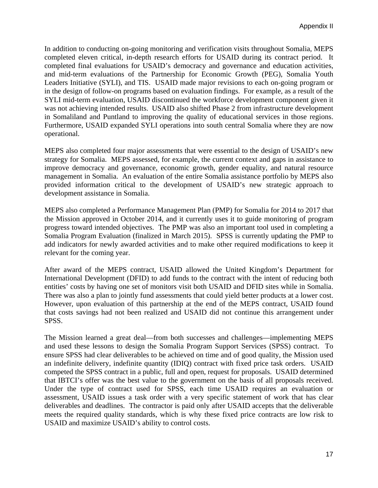in Somaliland and Puntland to improving the quality of educational services in those regions. In addition to conducting on-going monitoring and verification visits throughout Somalia, MEPS completed eleven critical, in-depth research efforts for USAID during its contract period. It completed final evaluations for USAID's democracy and governance and education activities, and mid-term evaluations of the Partnership for Economic Growth (PEG), Somalia Youth Leaders Initiative (SYLI), and TIS. USAID made major revisions to each on-going program or in the design of follow-on programs based on evaluation findings. For example, as a result of the SYLI mid-term evaluation, USAID discontinued the workforce development component given it was not achieving intended results. USAID also shifted Phase 2 from infrastructure development Furthermore, USAID expanded SYLI operations into south central Somalia where they are now operational.

MEPS also completed four major assessments that were essential to the design of USAID's new strategy for Somalia. MEPS assessed, for example, the current context and gaps in assistance to improve democracy and governance, economic growth, gender equality, and natural resource management in Somalia. An evaluation of the entire Somalia assistance portfolio by MEPS also provided information critical to the development of USAID's new strategic approach to development assistance in Somalia.

MEPS also completed a Performance Management Plan (PMP) for Somalia for 2014 to 2017 that the Mission approved in October 2014, and it currently uses it to guide monitoring of program progress toward intended objectives. The PMP was also an important tool used in completing a Somalia Program Evaluation (finalized in March 2015). SPSS is currently updating the PMP to add indicators for newly awarded activities and to make other required modifications to keep it relevant for the coming year.

After award of the MEPS contract, USAID allowed the United Kingdom's Department for International Development (DFID) to add funds to the contract with the intent of reducing both entities' costs by having one set of monitors visit both USAID and DFID sites while in Somalia. There was also a plan to jointly fund assessments that could yield better products at a lower cost. However, upon evaluation of this partnership at the end of the MEPS contract, USAID found that costs savings had not been realized and USAID did not continue this arrangement under SPSS.

The Mission learned a great deal—from both successes and challenges—implementing MEPS and used these lessons to design the Somalia Program Support Services (SPSS) contract. To ensure SPSS had clear deliverables to be achieved on time and of good quality, the Mission used an indefinite delivery, indefinite quantity (IDIQ) contract with fixed price task orders. USAID competed the SPSS contract in a public, full and open, request for proposals. USAID determined that IBTCI's offer was the best value to the government on the basis of all proposals received. Under the type of contract used for SPSS, each time USAID requires an evaluation or assessment, USAID issues a task order with a very specific statement of work that has clear deliverables and deadlines. The contractor is paid only after USAID accepts that the deliverable meets the required quality standards, which is why these fixed price contracts are low risk to USAID and maximize USAID's ability to control costs.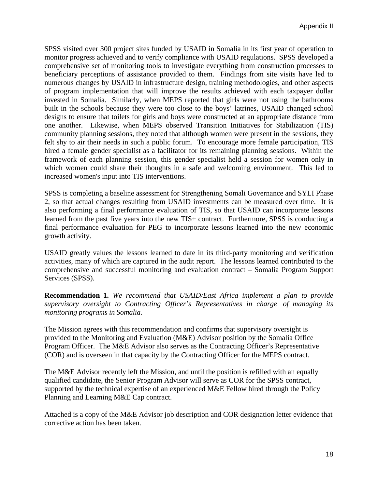SPSS visited over 300 project sites funded by USAID in Somalia in its first year of operation to monitor progress achieved and to verify compliance with USAID regulations. SPSS developed a comprehensive set of monitoring tools to investigate everything from construction processes to beneficiary perceptions of assistance provided to them. Findings from site visits have led to numerous changes by USAID in infrastructure design, training methodologies, and other aspects of program implementation that will improve the results achieved with each taxpayer dollar invested in Somalia. Similarly, when MEPS reported that girls were not using the bathrooms built in the schools because they were too close to the boys' latrines, USAID changed school designs to ensure that toilets for girls and boys were constructed at an appropriate distance from one another. Likewise, when MEPS observed Transition Initiatives for Stabilization (TIS) community planning sessions, they noted that although women were present in the sessions, they felt shy to air their needs in such a public forum. To encourage more female participation, TIS hired a female gender specialist as a facilitator for its remaining planning sessions. Within the framework of each planning session, this gender specialist held a session for women only in which women could share their thoughts in a safe and welcoming environment. This led to increased women's input into TIS interventions.

SPSS is completing a baseline assessment for Strengthening Somali Governance and SYLI Phase 2, so that actual changes resulting from USAID investments can be measured over time. It is also performing a final performance evaluation of TIS, so that USAID can incorporate lessons learned from the past five years into the new TIS+ contract. Furthermore, SPSS is conducting a final performance evaluation for PEG to incorporate lessons learned into the new economic growth activity.

USAID greatly values the lessons learned to date in its third-party monitoring and verification activities, many of which are captured in the audit report. The lessons learned contributed to the comprehensive and successful monitoring and evaluation contract – Somalia Program Support Services (SPSS).

**Recommendation 1.** *We recommend that USAID/East Africa implement a plan to provide supervisory oversight to Contracting Officer's Representatives in charge of managing its monitoring programs in Somalia.* 

The Mission agrees with this recommendation and confirms that supervisory oversight is provided to the Monitoring and Evaluation (M&E) Advisor position by the Somalia Office Program Officer. The M&E Advisor also serves as the Contracting Officer's Representative (COR) and is overseen in that capacity by the Contracting Officer for the MEPS contract.

The M&E Advisor recently left the Mission, and until the position is refilled with an equally qualified candidate, the Senior Program Advisor will serve as COR for the SPSS contract, supported by the technical expertise of an experienced M&E Fellow hired through the Policy Planning and Learning M&E Cap contract.

Attached is a copy of the M&E Advisor job description and COR designation letter evidence that corrective action has been taken.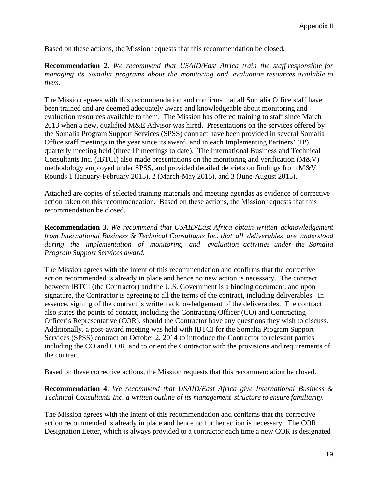Based on these actions, the Mission requests that this recommendation be closed.

**Recommendation 2.** *We recommend that USAID/East Africa train the staff responsible for managing its Somalia programs about the monitoring and evaluation resources available to them.* 

The Mission agrees with this recommendation and confirms that all Somalia Office staff have been trained and are deemed adequately aware and knowledgeable about monitoring and evaluation resources available to them. The Mission has offered training to staff since March 2013 when a new, qualified M&E Advisor was hired. Presentations on the services offered by the Somalia Program Support Services (SPSS) contract have been provided in several Somalia Office staff meetings in the year since its award, and in each Implementing Partners' (IP) quarterly meeting held (three IP meetings to date). The International Business and Technical Consultants Inc. (IBTCI) also made presentations on the monitoring and verification (M&V) methodology employed under SPSS, and provided detailed debriefs on findings from M&V Rounds 1 (January-February 2015), 2 (March-May 2015), and 3 (June-August 2015).

Attached are copies of selected training materials and meeting agendas as evidence of corrective action taken on this recommendation. Based on these actions, the Mission requests that this recommendation be closed.

**Recommendation 3.** *We recommend that USAID/East Africa obtain written acknowledgement from International Business & Technical Consultants Inc. that all deliverables are understood during the implementation of monitoring and evaluation activities under the Somalia Program Support Services award.* 

The Mission agrees with the intent of this recommendation and confirms that the corrective action recommended is already in place and hence no new action is necessary. The contract between IBTCI (the Contractor) and the U.S. Government is a binding document, and upon signature, the Contractor is agreeing to all the terms of the contract, including deliverables. In essence, signing of the contract is written acknowledgement of the deliverables. The contract also states the points of contact, including the Contracting Officer (CO) and Contracting Officer's Representative (COR), should the Contractor have any questions they wish to discuss. Additionally, a post-award meeting was held with IBTCI for the Somalia Program Support Services (SPSS) contract on October 2, 2014 to introduce the Contractor to relevant parties including the CO and COR, and to orient the Contractor with the provisions and requirements of the contract.

Based on these corrective actions, the Mission requests that this recommendation be closed.

**Recommendation 4**. *We recommend that USAID/East Africa give International Business & Technical Consultants Inc. a written outline of its management structure to ensure familiarity.* 

The Mission agrees with the intent of this recommendation and confirms that the corrective action recommended is already in place and hence no further action is necessary. The COR Designation Letter, which is always provided to a contractor each time a new COR is designated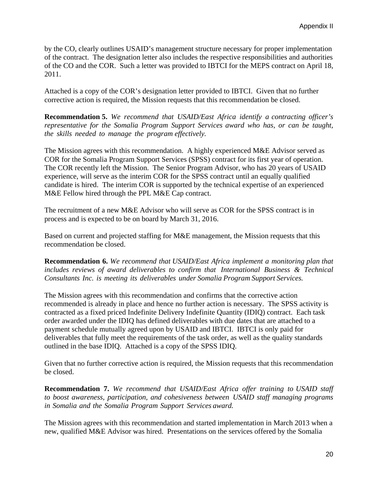by the CO, clearly outlines USAID's management structure necessary for proper implementation of the contract. The designation letter also includes the respective responsibilities and authorities of the CO and the COR. Such a letter was provided to IBTCI for the MEPS contract on April 18, 2011.

Attached is a copy of the COR's designation letter provided to IBTCI. Given that no further corrective action is required, the Mission requests that this recommendation be closed.

**Recommendation 5.** *We recommend that USAID/East Africa identify a contracting officer's representative for the Somalia Program Support Services award who has, or can be taught, the skills needed to manage the program effectively.* 

The Mission agrees with this recommendation. A highly experienced M&E Advisor served as COR for the Somalia Program Support Services (SPSS) contract for its first year of operation. The COR recently left the Mission. The Senior Program Advisor, who has 20 years of USAID experience, will serve as the interim COR for the SPSS contract until an equally qualified candidate is hired. The interim COR is supported by the technical expertise of an experienced M&E Fellow hired through the PPL M&E Cap contract.

The recruitment of a new M&E Advisor who will serve as COR for the SPSS contract is in process and is expected to be on board by March 31, 2016.

Based on current and projected staffing for M&E management, the Mission requests that this recommendation be closed.

**Recommendation 6.** *We recommend that USAID/East Africa implement a monitoring plan that includes reviews of award deliverables to confirm that International Business & Technical Consultants Inc. is meeting its deliverables under Somalia Program Support Services.* 

The Mission agrees with this recommendation and confirms that the corrective action recommended is already in place and hence no further action is necessary. The SPSS activity is contracted as a fixed priced Indefinite Delivery Indefinite Quantity (IDIQ) contract. Each task order awarded under the IDIQ has defined deliverables with due dates that are attached to a payment schedule mutually agreed upon by USAID and IBTCI. IBTCI is only paid for deliverables that fully meet the requirements of the task order, as well as the quality standards outlined in the base IDIQ. Attached is a copy of the SPSS IDIQ.

Given that no further corrective action is required, the Mission requests that this recommendation be closed.

**Recommendation 7.** *We recommend that USAID/East Africa offer training to USAID staff to boost awareness, participation, and cohesiveness between USAID staff managing programs in Somalia and the Somalia Program Support Services award.* 

The Mission agrees with this recommendation and started implementation in March 2013 when a new, qualified M&E Advisor was hired. Presentations on the services offered by the Somalia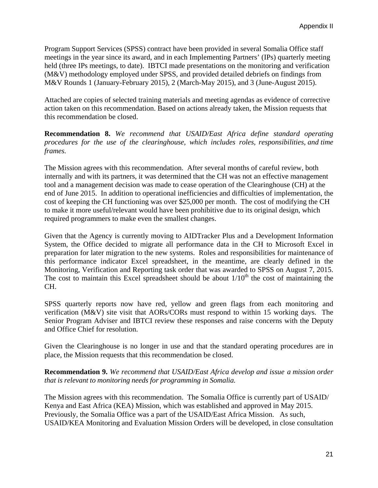Program Support Services (SPSS) contract have been provided in several Somalia Office staff meetings in the year since its award, and in each Implementing Partners' (IPs) quarterly meeting held (three IPs meetings, to date). IBTCI made presentations on the monitoring and verification (M&V) methodology employed under SPSS, and provided detailed debriefs on findings from M&V Rounds 1 (January-February 2015), 2 (March-May 2015), and 3 (June-August 2015).

Attached are copies of selected training materials and meeting agendas as evidence of corrective action taken on this recommendation. Based on actions already taken, the Mission requests that this recommendation be closed.

**Recommendation 8.** *We recommend that USAID/East Africa define standard operating procedures for the use of the clearinghouse, which includes roles, responsibilities, and time frames.* 

The Mission agrees with this recommendation. After several months of careful review, both internally and with its partners, it was determined that the CH was not an effective management tool and a management decision was made to cease operation of the Clearinghouse (CH) at the end of June 2015. In addition to operational inefficiencies and difficulties of implementation, the cost of keeping the CH functioning was over \$25,000 per month. The cost of modifying the CH to make it more useful/relevant would have been prohibitive due to its original design, which required programmers to make even the smallest changes.

Given that the Agency is currently moving to AIDTracker Plus and a Development Information System, the Office decided to migrate all performance data in the CH to Microsoft Excel in preparation for later migration to the new systems. Roles and responsibilities for maintenance of this performance indicator Excel spreadsheet, in the meantime, are clearly defined in the Monitoring, Verification and Reporting task order that was awarded to SPSS on August 7, 2015. The cost to maintain this Excel spreadsheet should be about  $1/10<sup>th</sup>$  the cost of maintaining the CH.

SPSS quarterly reports now have red, yellow and green flags from each monitoring and verification (M&V) site visit that AORs/CORs must respond to within 15 working days. The Senior Program Adviser and IBTCI review these responses and raise concerns with the Deputy and Office Chief for resolution.

Given the Clearinghouse is no longer in use and that the standard operating procedures are in place, the Mission requests that this recommendation be closed.

**Recommendation 9.** *We recommend that USAID/East Africa develop and issue a mission order that is relevant to monitoring needs for programming in Somalia.* 

The Mission agrees with this recommendation. The Somalia Office is currently part of USAID/ Kenya and East Africa (KEA) Mission, which was established and approved in May 2015. Previously, the Somalia Office was a part of the USAID/East Africa Mission. As such, USAID/KEA Monitoring and Evaluation Mission Orders will be developed, in close consultation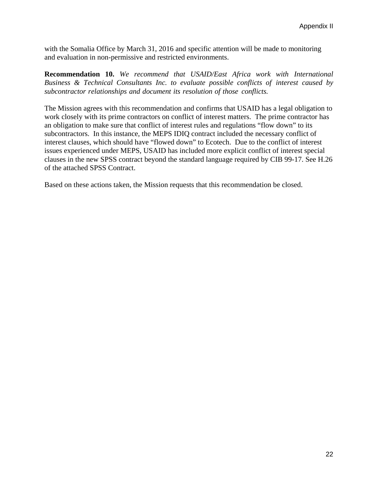with the Somalia Office by March 31, 2016 and specific attention will be made to monitoring and evaluation in non-permissive and restricted environments.

**Recommendation 10.** *We recommend that USAID/East Africa work with International Business & Technical Consultants Inc. to evaluate possible conflicts of interest caused by subcontractor relationships and document its resolution of those conflicts.* 

The Mission agrees with this recommendation and confirms that USAID has a legal obligation to work closely with its prime contractors on conflict of interest matters. The prime contractor has an obligation to make sure that conflict of interest rules and regulations "flow down" to its subcontractors. In this instance, the MEPS IDIQ contract included the necessary conflict of interest clauses, which should have "flowed down" to Ecotech. Due to the conflict of interest issues experienced under MEPS, USAID has included more explicit conflict of interest special clauses in the new SPSS contract beyond the standard language required by CIB 99-17. See H.26 of the attached SPSS Contract.

Based on these actions taken, the Mission requests that this recommendation be closed.